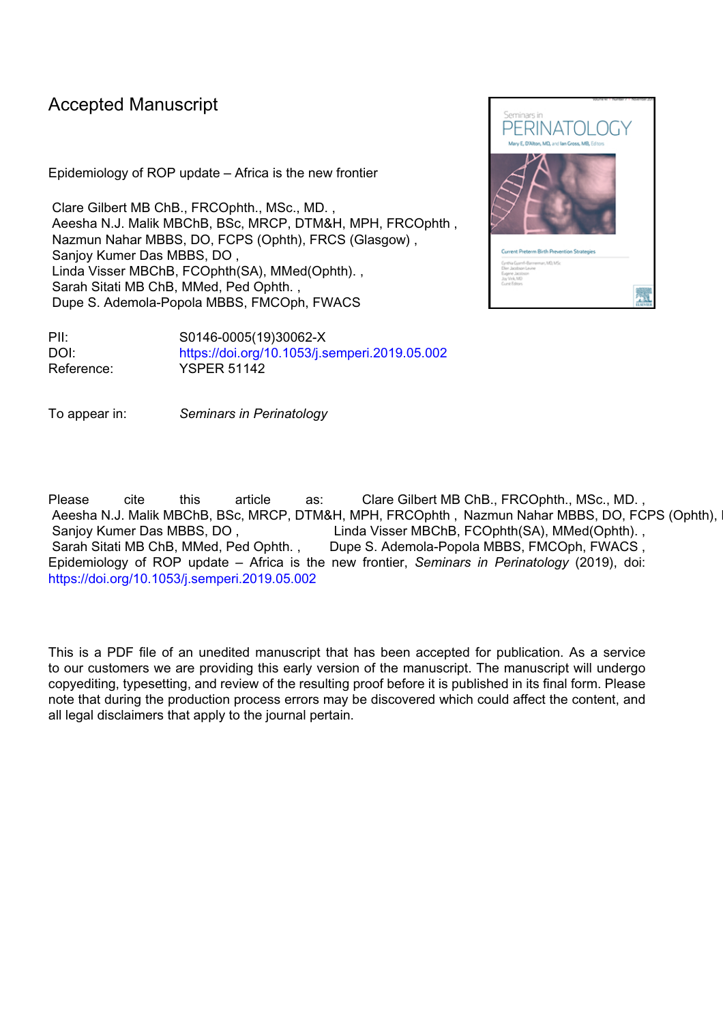# Accepted Manuscript

Epidemiology of ROP update – Africa is the new frontier

Clare Gilbert MB ChB., FRCOphth., MSc., MD. , Aeesha N.J. Malik MBChB, BSc, MRCP, DTM&H, MPH, FRCOphth , Nazmun Nahar MBBS, DO, FCPS (Ophth), FRCS (Glasgow) , Sanjoy Kumer Das MBBS, DO , Linda Visser MBChB, FCOphth(SA), MMed(Ophth). , Sarah Sitati MB ChB, MMed, Ped Ophth. , Dupe S. Ademola-Popola MBBS, FMCOph, FWACS

PII: S0146-0005(19)30062-X DOI: <https://doi.org/10.1053/j.semperi.2019.05.002> Reference: YSPER 51142

To appear in: *Seminars in Perinatology*

Please cite this article as: Clare Gilbert MB ChB., FRCOphth., MSc., MD. , Aeesha N.J. Malik MBChB, BSc, MRCP, DTM&H, MPH, FRCOphth, Nazmun Nahar MBBS, DO, FCPS (Ophth), Sanjoy Kumer Das MBBS, DO, Linda Visser MBChB, FCOphth(SA), MMed(Ophth). Sarah Sitati MB ChB, MMed, Ped Ophth. , Dupe S. Ademola-Popola MBBS, FMCOph, FWACS, Epidemiology of ROP update – Africa is the new frontier, *Seminars in Perinatology* (2019), doi: <https://doi.org/10.1053/j.semperi.2019.05.002>

This is a PDF file of an unedited manuscript that has been accepted for publication. As a service to our customers we are providing this early version of the manuscript. The manuscript will undergo copyediting, typesetting, and review of the resulting proof before it is published in its final form. Please note that during the production process errors may be discovered which could affect the content, and all legal disclaimers that apply to the journal pertain.

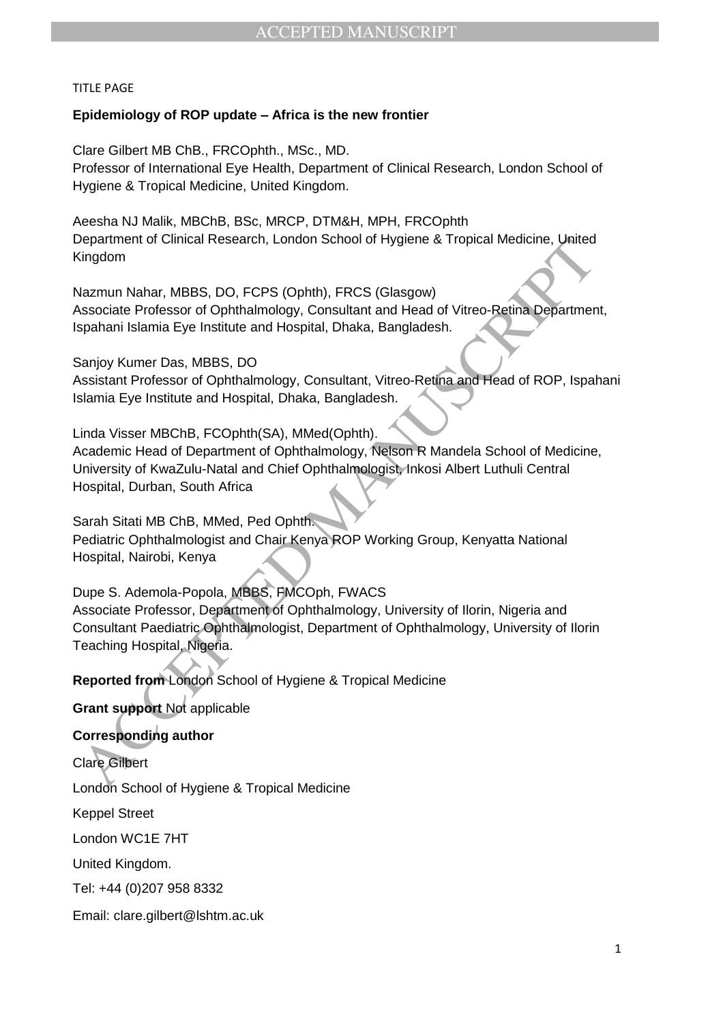## TITLE PAGE

## **Epidemiology of ROP update – Africa is the new frontier**

Clare Gilbert MB ChB., FRCOphth., MSc., MD. Professor of International Eye Health, Department of Clinical Research, London School of Hygiene & Tropical Medicine, United Kingdom.

Aeesha NJ Malik, MBChB, BSc, MRCP, DTM&H, MPH, FRCOphth Department of Clinical Research, London School of Hygiene & Tropical Medicine, United Kingdom

Nazmun Nahar, MBBS, DO, FCPS (Ophth), FRCS (Glasgow) Associate Professor of Ophthalmology, Consultant and Head of Vitreo-Retina Department, Ispahani Islamia Eye Institute and Hospital, Dhaka, Bangladesh.

Sanjoy Kumer Das, MBBS, DO

Assistant Professor of Ophthalmology, Consultant, Vitreo-Retina and Head of ROP, Ispahani Islamia Eye Institute and Hospital, Dhaka, Bangladesh.

Linda Visser MBChB, FCOphth(SA), MMed(Ophth). Academic Head of Department of Ophthalmology, Nelson R Mandela School of Medicine, University of KwaZulu-Natal and Chief Ophthalmologist, Inkosi Albert Luthuli Central Hospital, Durban, South Africa

Sarah Sitati MB ChB, MMed, Ped Ophth. Pediatric Ophthalmologist and Chair Kenya ROP Working Group, Kenyatta National Hospital, Nairobi, Kenya

ingarment of Clinical Research, London School of Hygiene & Tropical Medicine, United<br>Vingdom<br>Nazmun Nahar, MBBS, DO, FCPS (Ophth), FRCS (Glasgow)<br>Sasociate Professor of Ophthalmology, Consultant and Head of Vitreo-Retina D Dupe S. Ademola-Popola, MBBS, FMCOph, FWACS Associate Professor, Department of Ophthalmology, University of Ilorin, Nigeria and Consultant Paediatric Ophthalmologist, Department of Ophthalmology, University of Ilorin Teaching Hospital, Nigeria.

**Reported from** London School of Hygiene & Tropical Medicine

**Grant support** Not applicable

## **Corresponding author**

Clare Gilbert

London School of Hygiene & Tropical Medicine

Keppel Street

London WC1E 7HT

United Kingdom.

Tel: +44 (0)207 958 8332

Email: clare.gilbert@lshtm.ac.uk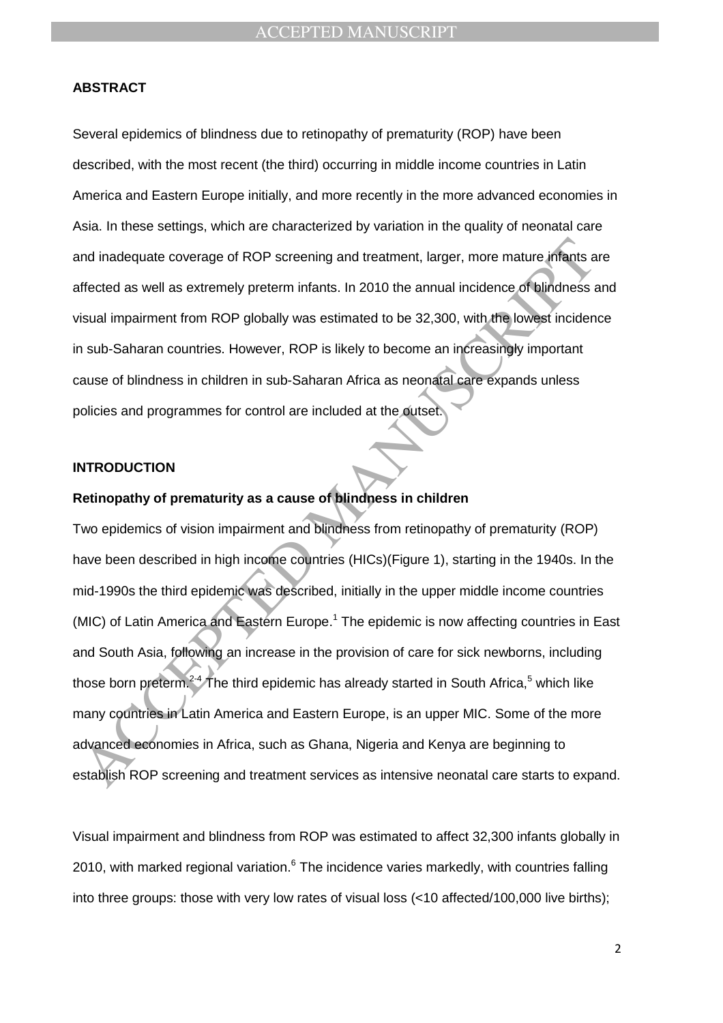## **ABSTRACT**

Several epidemics of blindness due to retinopathy of prematurity (ROP) have been described, with the most recent (the third) occurring in middle income countries in Latin America and Eastern Europe initially, and more recently in the more advanced economies in Asia. In these settings, which are characterized by variation in the quality of neonatal care and inadequate coverage of ROP screening and treatment, larger, more mature infants are affected as well as extremely preterm infants. In 2010 the annual incidence of blindness and visual impairment from ROP globally was estimated to be 32,300, with the lowest incidence in sub-Saharan countries. However, ROP is likely to become an increasingly important cause of blindness in children in sub-Saharan Africa as neonatal care expands unless policies and programmes for control are included at the outset.

#### **INTRODUCTION**

## **Retinopathy of prematurity as a cause of blindness in children**

nd inadequate coverage of ROP screening and treatment, larger, more mature infants a<br>fifected as well as extremely preterm infants. In 2010 the annual incidence of blindness<br>issual impairment from ROP globally was estimate Two epidemics of vision impairment and blindness from retinopathy of prematurity (ROP) have been described in high income countries (HICs)(Figure 1), starting in the 1940s. In the mid-1990s the third epidemic was described, initially in the upper middle income countries (MIC) of Latin America and Eastern Europe.<sup>1</sup> The epidemic is now affecting countries in East and South Asia, following an increase in the provision of care for sick newborns, including those born preterm.<sup>2-4</sup> The third epidemic has already started in South Africa,<sup>5</sup> which like many countries in Latin America and Eastern Europe, is an upper MIC. Some of the more advanced economies in Africa, such as Ghana, Nigeria and Kenya are beginning to establish ROP screening and treatment services as intensive neonatal care starts to expand.

Visual impairment and blindness from ROP was estimated to affect 32,300 infants globally in 2010, with marked regional variation.<sup>6</sup> The incidence varies markedly, with countries falling into three groups: those with very low rates of visual loss (<10 affected/100,000 live births);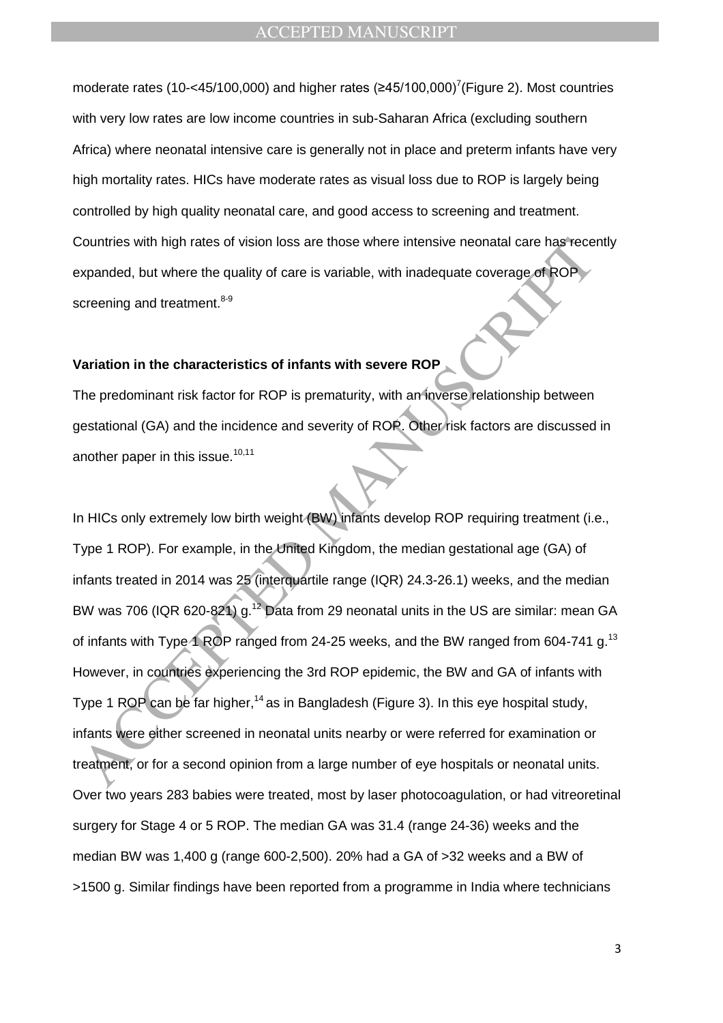moderate rates (10-<45/100,000) and higher rates  $(\geq 45/100,000)^7$  (Figure 2). Most countries with very low rates are low income countries in sub-Saharan Africa (excluding southern Africa) where neonatal intensive care is generally not in place and preterm infants have very high mortality rates. HICs have moderate rates as visual loss due to ROP is largely being controlled by high quality neonatal care, and good access to screening and treatment. Countries with high rates of vision loss are those where intensive neonatal care has recently expanded, but where the quality of care is variable, with inadequate coverage of ROP screening and treatment.<sup>8-9</sup>

## **Variation in the characteristics of infants with severe ROP**

The predominant risk factor for ROP is prematurity, with an inverse relationship between gestational (GA) and the incidence and severity of ROP. Other risk factors are discussed in another paper in this issue.<sup>10,11</sup>

Countries with high rates of vision loss are those where intensive neonatal care has recording and treatment.<sup>89</sup><br>Expanded, but where the quality of care is variable, with inadequate coverage of ROP<br>Contenting and treatmen In HICs only extremely low birth weight (BW) infants develop ROP requiring treatment (i.e., Type 1 ROP). For example, in the United Kingdom, the median gestational age (GA) of infants treated in 2014 was 25 (interquartile range (IQR) 24.3-26.1) weeks, and the median BW was 706 (IQR 620-821) g.<sup>12</sup> Data from 29 neonatal units in the US are similar: mean GA of infants with Type 1 ROP ranged from 24-25 weeks, and the BW ranged from 604-741 g.<sup>13</sup> However, in countries experiencing the 3rd ROP epidemic, the BW and GA of infants with Type 1 ROP can be far higher,<sup>14</sup> as in Bangladesh (Figure 3). In this eye hospital study, infants were either screened in neonatal units nearby or were referred for examination or treatment, or for a second opinion from a large number of eye hospitals or neonatal units. Over two years 283 babies were treated, most by laser photocoagulation, or had vitreoretinal surgery for Stage 4 or 5 ROP. The median GA was 31.4 (range 24-36) weeks and the median BW was 1,400 g (range 600-2,500). 20% had a GA of >32 weeks and a BW of >1500 g. Similar findings have been reported from a programme in India where technicians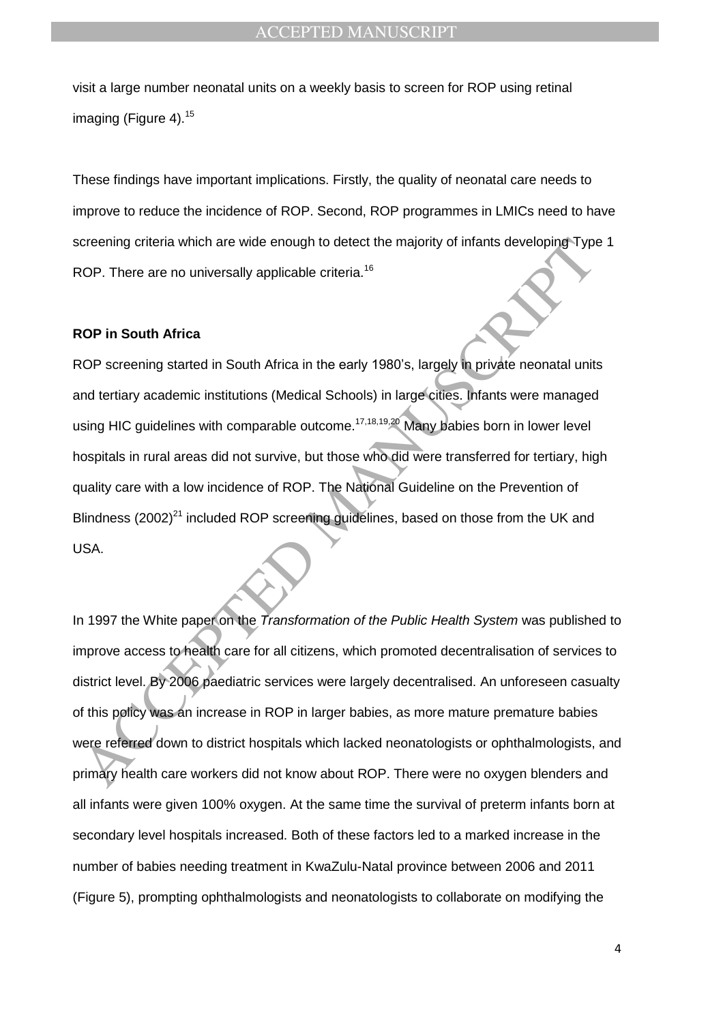visit a large number neonatal units on a weekly basis to screen for ROP using retinal imaging (Figure 4).<sup>15</sup>

These findings have important implications. Firstly, the quality of neonatal care needs to improve to reduce the incidence of ROP. Second, ROP programmes in LMICs need to have screening criteria which are wide enough to detect the majority of infants developing Type 1 ROP. There are no universally applicable criteria.<sup>16</sup>

#### **ROP in South Africa**

Creening criteria which are wide enough to detect the majority of infants developing-Type<br>COP. There are no universally applicable criteria.<sup>16</sup><br>ACOP in South Africa<br>
RCP screening started in South Africa in the early 1980 ROP screening started in South Africa in the early 1980's, largely in private neonatal units and tertiary academic institutions (Medical Schools) in large cities. Infants were managed using HIC guidelines with comparable outcome.<sup>17,18,19,20</sup> Many babies born in lower level hospitals in rural areas did not survive, but those who did were transferred for tertiary, high quality care with a low incidence of ROP. The National Guideline on the Prevention of Blindness (2002) $^{21}$  included ROP screening guidelines, based on those from the UK and USA.

In 1997 the White paper on the *Transformation of the Public Health System* was published to improve access to health care for all citizens, which promoted decentralisation of services to district level. By 2006 paediatric services were largely decentralised. An unforeseen casualty of this policy was an increase in ROP in larger babies, as more mature premature babies were referred down to district hospitals which lacked neonatologists or ophthalmologists, and primary health care workers did not know about ROP. There were no oxygen blenders and all infants were given 100% oxygen. At the same time the survival of preterm infants born at secondary level hospitals increased. Both of these factors led to a marked increase in the number of babies needing treatment in KwaZulu-Natal province between 2006 and 2011 (Figure 5), prompting ophthalmologists and neonatologists to collaborate on modifying the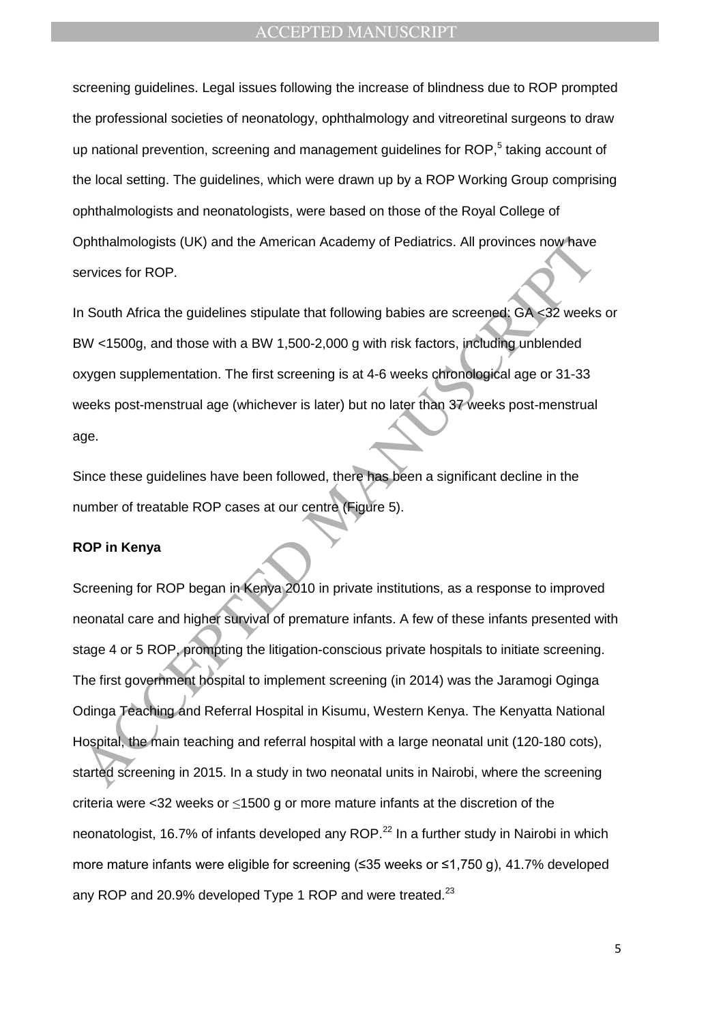screening guidelines. Legal issues following the increase of blindness due to ROP prompted the professional societies of neonatology, ophthalmology and vitreoretinal surgeons to draw up national prevention, screening and management guidelines for ROP,<sup>5</sup> taking account of the local setting. The guidelines, which were drawn up by a ROP Working Group comprising ophthalmologists and neonatologists, were based on those of the Royal College of Ophthalmologists (UK) and the American Academy of Pediatrics. All provinces now have services for ROP.

In South Africa the guidelines stipulate that following babies are screened: GA <32 weeks or BW <1500g, and those with a BW 1,500-2,000 g with risk factors, including unblended oxygen supplementation. The first screening is at 4-6 weeks chronological age or 31-33 weeks post-menstrual age (whichever is later) but no later than 37 weeks post-menstrual age.

Since these guidelines have been followed, there has been a significant decline in the number of treatable ROP cases at our centre (Figure 5).

#### **ROP in Kenya**

Sphthalmologists (UK) and the American Academy of Pediatrics. All provinces now have<br>ervices for ROP.<br>
The South Africa the guidelines stipulate that following babies are screened. GA -32 weeks<br>
W <1500g, and those with a Screening for ROP began in Kenya 2010 in private institutions, as a response to improved neonatal care and higher survival of premature infants. A few of these infants presented with stage 4 or 5 ROP, prompting the litigation-conscious private hospitals to initiate screening. The first government hospital to implement screening (in 2014) was the Jaramogi Oginga Odinga Teaching and Referral Hospital in Kisumu, Western Kenya. The Kenyatta National Hospital, the main teaching and referral hospital with a large neonatal unit (120-180 cots), started screening in 2015. In a study in two neonatal units in Nairobi, where the screening criteria were <32 weeks or ≤1500 g or more mature infants at the discretion of the neonatologist, 16.7% of infants developed any ROP.<sup>22</sup> In a further study in Nairobi in which more mature infants were eligible for screening (≤35 weeks or ≤1,750 g), 41.7% developed any ROP and 20.9% developed Type 1 ROP and were treated. $^{23}$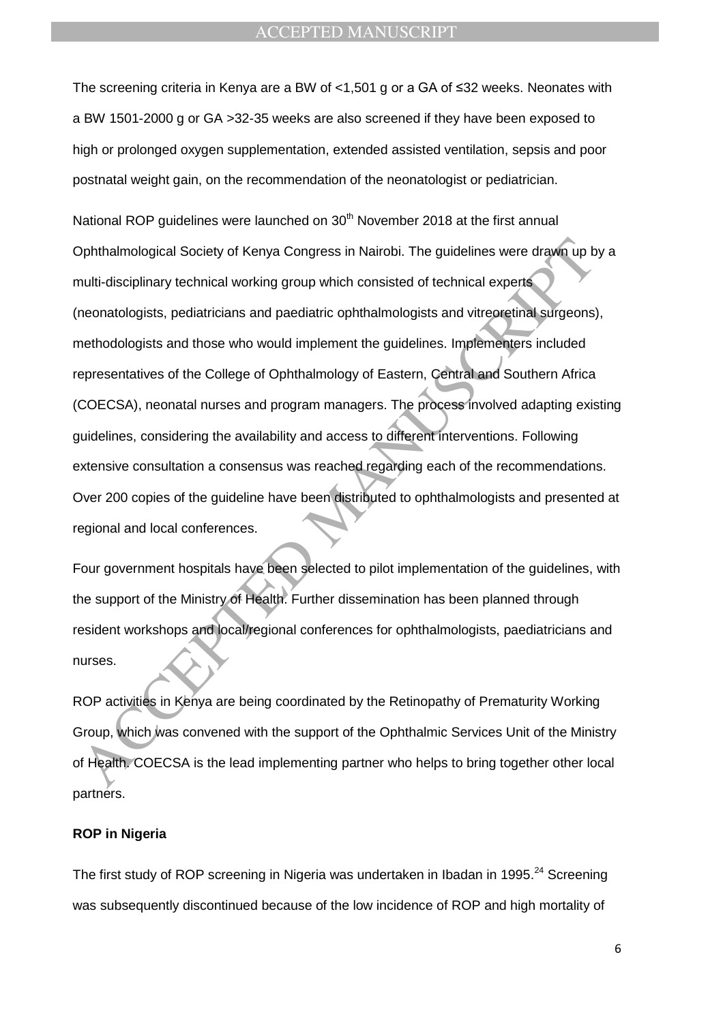The screening criteria in Kenya are a BW of <1,501 g or a GA of ≤32 weeks. Neonates with a BW 1501-2000 g or GA >32-35 weeks are also screened if they have been exposed to high or prolonged oxygen supplementation, extended assisted ventilation, sepsis and poor postnatal weight gain, on the recommendation of the neonatologist or pediatrician.

Dphthalmological Society of Kenya Congress in Nairobi. The guidelines were drawn up b<br>phthalmological Society of Kenya Congress in Nairobi. The guidelines were drawn up b<br>nulti-disciplinary technical working group which co National ROP guidelines were launched on  $30<sup>th</sup>$  November 2018 at the first annual Ophthalmological Society of Kenya Congress in Nairobi. The guidelines were drawn up by a multi-disciplinary technical working group which consisted of technical experts (neonatologists, pediatricians and paediatric ophthalmologists and vitreoretinal surgeons), methodologists and those who would implement the guidelines. Implementers included representatives of the College of Ophthalmology of Eastern, Central and Southern Africa (COECSA), neonatal nurses and program managers. The process involved adapting existing guidelines, considering the availability and access to different interventions. Following extensive consultation a consensus was reached regarding each of the recommendations. Over 200 copies of the guideline have been distributed to ophthalmologists and presented at regional and local conferences.

Four government hospitals have been selected to pilot implementation of the guidelines, with the support of the Ministry of Health. Further dissemination has been planned through resident workshops and local/regional conferences for ophthalmologists, paediatricians and nurses.

ROP activities in Kenya are being coordinated by the Retinopathy of Prematurity Working Group, which was convened with the support of the Ophthalmic Services Unit of the Ministry of Health. COECSA is the lead implementing partner who helps to bring together other local partners.

#### **ROP in Nigeria**

The first study of ROP screening in Nigeria was undertaken in Ibadan in 1995.<sup>24</sup> Screening was subsequently discontinued because of the low incidence of ROP and high mortality of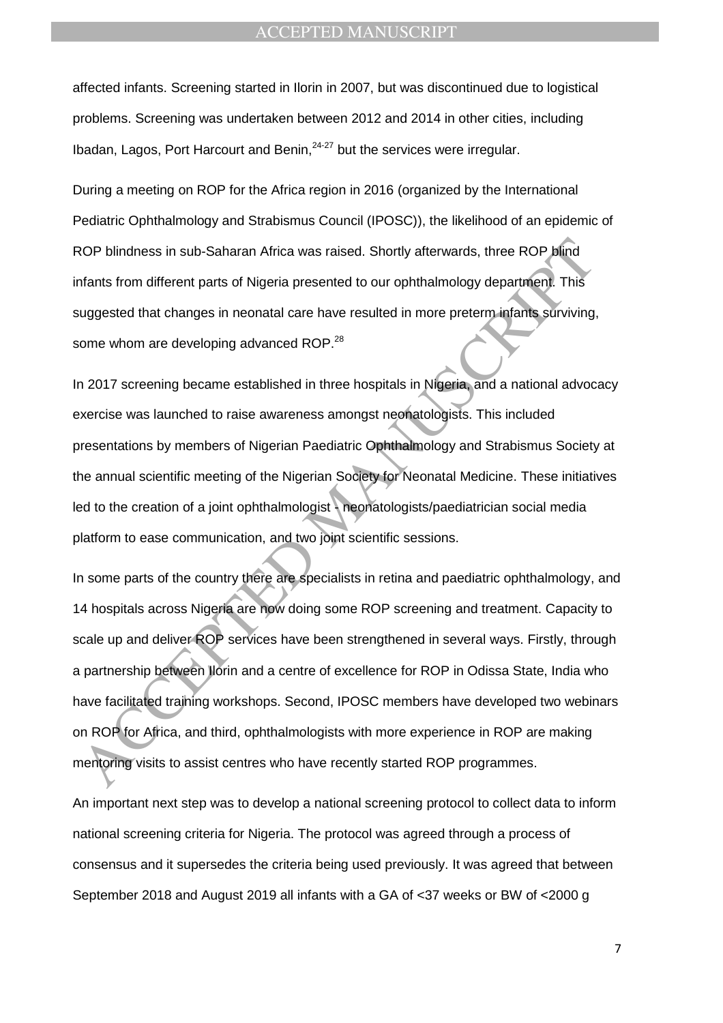affected infants. Screening started in Ilorin in 2007, but was discontinued due to logistical problems. Screening was undertaken between 2012 and 2014 in other cities, including Ibadan, Lagos, Port Harcourt and Benin, <sup>24-27</sup> but the services were irregular.

During a meeting on ROP for the Africa region in 2016 (organized by the International Pediatric Ophthalmology and Strabismus Council (IPOSC)), the likelihood of an epidemic of ROP blindness in sub-Saharan Africa was raised. Shortly afterwards, three ROP blind infants from different parts of Nigeria presented to our ophthalmology department. This suggested that changes in neonatal care have resulted in more preterm infants surviving, some whom are developing advanced ROP.<sup>28</sup>

In 2017 screening became established in three hospitals in Nigeria, and a national advocacy exercise was launched to raise awareness amongst neonatologists. This included presentations by members of Nigerian Paediatric Ophthalmology and Strabismus Society at the annual scientific meeting of the Nigerian Society for Neonatal Medicine. These initiatives led to the creation of a joint ophthalmologist - neonatologists/paediatrician social media platform to ease communication, and two joint scientific sessions.

ROP blindness in sub-Saharan Africa was raised. Shortly afterwards, three ROP blind<br>
Afants from different parts of Nigeria presented to our ophthalmology department. This<br>
suggested that changes in neonatal care have resu In some parts of the country there are specialists in retina and paediatric ophthalmology, and 14 hospitals across Nigeria are now doing some ROP screening and treatment. Capacity to scale up and deliver ROP services have been strengthened in several ways. Firstly, through a partnership between Ilorin and a centre of excellence for ROP in Odissa State, India who have facilitated training workshops. Second, IPOSC members have developed two webinars on ROP for Africa, and third, ophthalmologists with more experience in ROP are making mentoring visits to assist centres who have recently started ROP programmes.

An important next step was to develop a national screening protocol to collect data to inform national screening criteria for Nigeria. The protocol was agreed through a process of consensus and it supersedes the criteria being used previously. It was agreed that between September 2018 and August 2019 all infants with a GA of <37 weeks or BW of <2000 g

7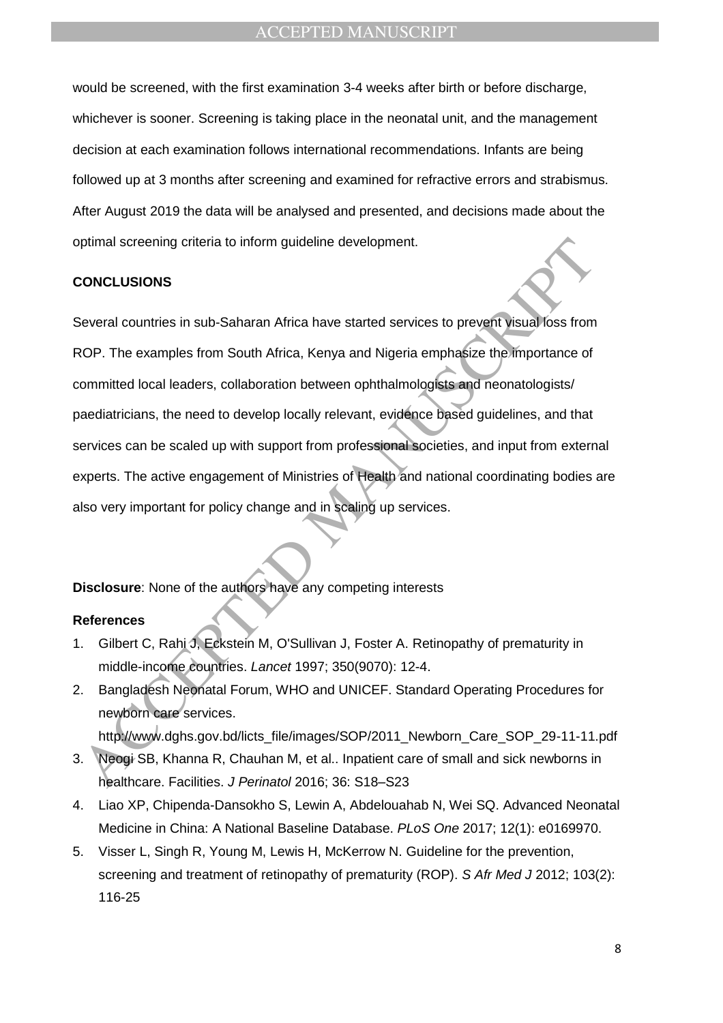would be screened, with the first examination 3-4 weeks after birth or before discharge, whichever is sooner. Screening is taking place in the neonatal unit, and the management decision at each examination follows international recommendations. Infants are being followed up at 3 months after screening and examined for refractive errors and strabismus. After August 2019 the data will be analysed and presented, and decisions made about the optimal screening criteria to inform guideline development.

#### **CONCLUSIONS**

ptimal screening criteria to inform guideline development.<br> **CONCLUSIONS**<br>
Several countries in sub-Saharan Africa have started services to prevent visual loss from<br>
MCP. The examples from South Africa, Kenya and Nigeria e Several countries in sub-Saharan Africa have started services to prevent visual loss from ROP. The examples from South Africa, Kenya and Nigeria emphasize the importance of committed local leaders, collaboration between ophthalmologists and neonatologists/ paediatricians, the need to develop locally relevant, evidence based guidelines, and that services can be scaled up with support from professional societies, and input from external experts. The active engagement of Ministries of Health and national coordinating bodies are also very important for policy change and in scaling up services.

**Disclosure**: None of the authors have any competing interests

## **References**

- 1. Gilbert C, Rahi J, Eckstein M, O'Sullivan J, Foster A. Retinopathy of prematurity in middle-income countries. *Lancet* 1997; 350(9070): 12-4.
- 2. Bangladesh Neonatal Forum, WHO and UNICEF. Standard Operating Procedures for newborn care services. http://www.dghs.gov.bd/licts\_file/images/SOP/2011\_Newborn\_Care\_SOP\_29-11-11.pdf
- 3. Neogi SB, Khanna R, Chauhan M, et al.. Inpatient care of small and sick newborns in healthcare. Facilities. *J Perinatol* 2016; 36: S18–S23
- 4. Liao XP, Chipenda-Dansokho S, Lewin A, Abdelouahab N, Wei SQ. Advanced Neonatal Medicine in China: A National Baseline Database. *PLoS One* 2017; 12(1): e0169970.
- 5. Visser L, Singh R, Young M, Lewis H, McKerrow N. Guideline for the prevention, screening and treatment of retinopathy of prematurity (ROP). *S Afr Med J* 2012; 103(2): 116-25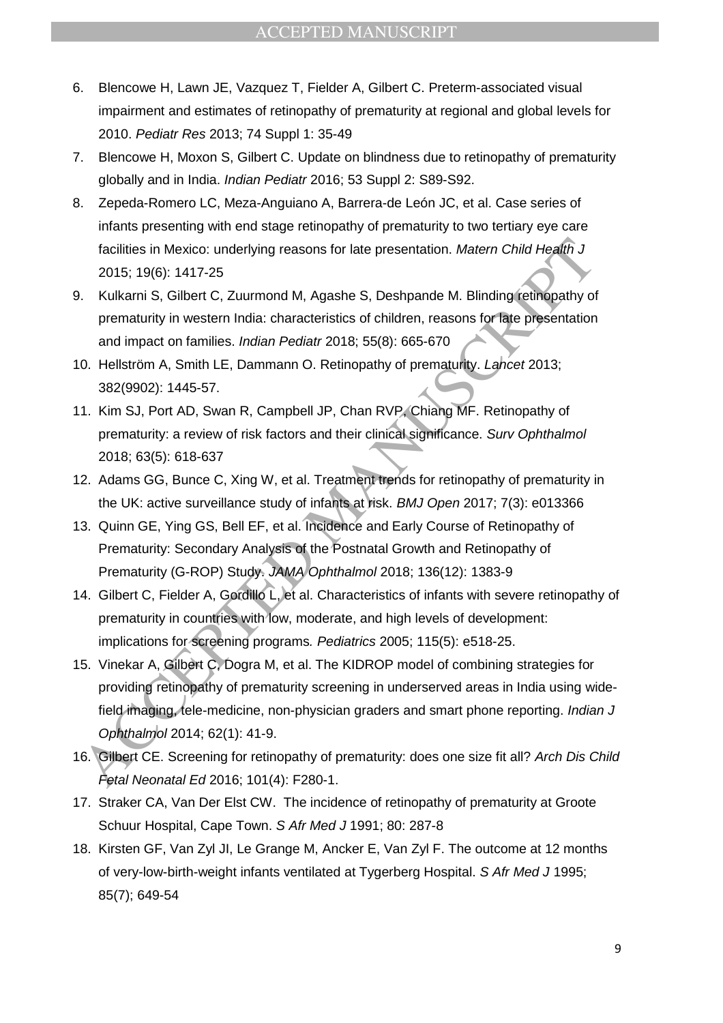- 6. Blencowe H, Lawn JE, Vazquez T, Fielder A, Gilbert C. Preterm-associated visual impairment and estimates of retinopathy of prematurity at regional and global levels for 2010. *Pediatr Res* 2013; 74 Suppl 1: 35-49
- 7. Blencowe H, Moxon S, Gilbert C. Update on blindness due to retinopathy of prematurity globally and in India. *Indian Pediatr* 2016; 53 Suppl 2: S89-S92.
- 8. Zepeda-Romero LC, Meza-Anguiano A, Barrera-de León JC, et al. Case series of infants presenting with end stage retinopathy of prematurity to two tertiary eye care facilities in Mexico: underlying reasons for late presentation. *Matern Child Health J* 2015; 19(6): 1417-25
- 9. Kulkarni S, Gilbert C, Zuurmond M, Agashe S, Deshpande M. Blinding retinopathy of prematurity in western India: characteristics of children, reasons for late presentation and impact on families. *Indian Pediatr* 2018; 55(8): 665-670
- 10. Hellström A, Smith LE, Dammann O. Retinopathy of prematurity. *Lancet* 2013; 382(9902): 1445-57.
- 11. Kim SJ, Port AD, Swan R, Campbell JP, Chan RVP, Chiang MF. Retinopathy of prematurity: a review of risk factors and their clinical significance. *Surv Ophthalmol* 2018; 63(5): 618-637
- 12. Adams GG, Bunce C, Xing W, et al. Treatment trends for retinopathy of prematurity in the UK: active surveillance study of infants at risk. *BMJ Open* 2017; 7(3): e013366
- 13. Quinn GE, Ying GS, Bell EF, et al. Incidence and Early Course of Retinopathy of Prematurity: Secondary Analysis of the Postnatal Growth and Retinopathy of Prematurity (G-ROP) Study. *JAMA Ophthalmol* 2018; 136(12): 1383-9
- 14. Gilbert C, Fielder A, Gordillo L, et al. Characteristics of infants with severe retinopathy of prematurity in countries with low, moderate, and high levels of development: implications for screening programs*. Pediatrics* 2005; 115(5): e518-25.
- facilities in Mexico: underlying reasons for late presentation. *Matern Child Health* J<br>
2015; 19(6): 1417-25<br>
Xulkami S., Glibert C, Zuurmond M, Agashe S, Deshpande M. Blinding retinopathy of<br>
xulkami S., Glibert C, Zuur 15. Vinekar A, Gilbert C, Dogra M, et al. The KIDROP model of combining strategies for providing retinopathy of prematurity screening in underserved areas in India using widefield imaging, tele-medicine, non-physician graders and smart phone reporting. *Indian J Ophthalmol* 2014; 62(1): 41-9.
- 16. Gilbert CE. Screening for retinopathy of prematurity: does one size fit all? *Arch Dis Child Fetal Neonatal Ed* 2016; 101(4): F280-1.
- 17. Straker CA, Van Der Elst CW. The incidence of retinopathy of prematurity at Groote Schuur Hospital, Cape Town. *S Afr Med J* 1991; 80: 287-8
- 18. Kirsten GF, Van Zyl JI, Le Grange M, Ancker E, Van Zyl F. The outcome at 12 months of very-low-birth-weight infants ventilated at Tygerberg Hospital. *S Afr Med J* 1995; 85(7); 649-54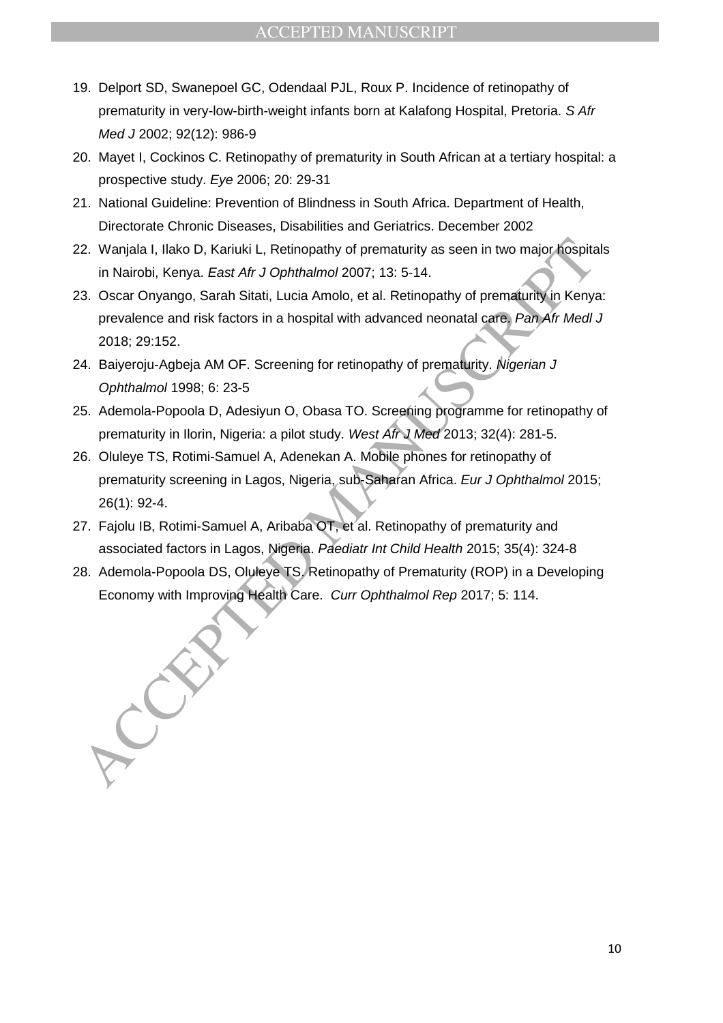- 19. Delport SD, Swanepoel GC, Odendaal PJL, Roux P. Incidence of retinopathy of prematurity in very-low-birth-weight infants born at Kalafong Hospital, Pretoria. *S Afr Med J* 2002; 92(12): 986-9
- 20. Mayet I, Cockinos C. Retinopathy of prematurity in South African at a tertiary hospital: a prospective study. *Eye* 2006; 20: 29-31
- 21. National Guideline: Prevention of Blindness in South Africa. Department of Health, Directorate Chronic Diseases, Disabilities and Geriatrics. December 2002
- 22. Wanjala I, Ilako D, Kariuki L, Retinopathy of prematurity as seen in two major hospitals in Nairobi, Kenya. *East Afr J Ophthalmol* 2007; 13: 5-14.
- 23. Oscar Onyango, Sarah Sitati, Lucia Amolo, et al. Retinopathy of prematurity in Kenya: prevalence and risk factors in a hospital with advanced neonatal care. *Pan Afr Medl J* 2018; 29:152.
- 24. Baiyeroju-Agbeja AM OF. Screening for retinopathy of prematurity. *Nigerian J Ophthalmol* 1998; 6: 23-5
- 25. Ademola-Popoola D, Adesiyun O, Obasa TO. Screening programme for retinopathy of prematurity in Ilorin, Nigeria: a pilot study. *West Afr J Med* 2013; 32(4): 281-5.
- 22. Wanjala I, Ilako D, Kariuki L, Retinopathy of prematurity as seen in two major hospitalin Nairobi, Kenya. East Afr J Ophthalmol 2007; 13: 5-14.<br>
33. Oscar Oryango, Sarah Sitati, Lucia Amolo, et al. Retinopathy of prema 26. Oluleye TS, Rotimi-Samuel A, Adenekan A. Mobile phones for retinopathy of prematurity screening in Lagos, Nigeria, sub-Saharan Africa. *Eur J Ophthalmol* 2015; 26(1): 92-4.
- 27. Fajolu IB, Rotimi-Samuel A, Aribaba OT, et al. Retinopathy of prematurity and associated factors in Lagos, Nigeria. *Paediatr Int Child Health* 2015; 35(4): 324-8
- 28. Ademola-Popoola DS, Oluleye TS. Retinopathy of Prematurity (ROP) in a Developing Economy with Improving Health Care. *Curr Ophthalmol Rep* 2017; 5: 114.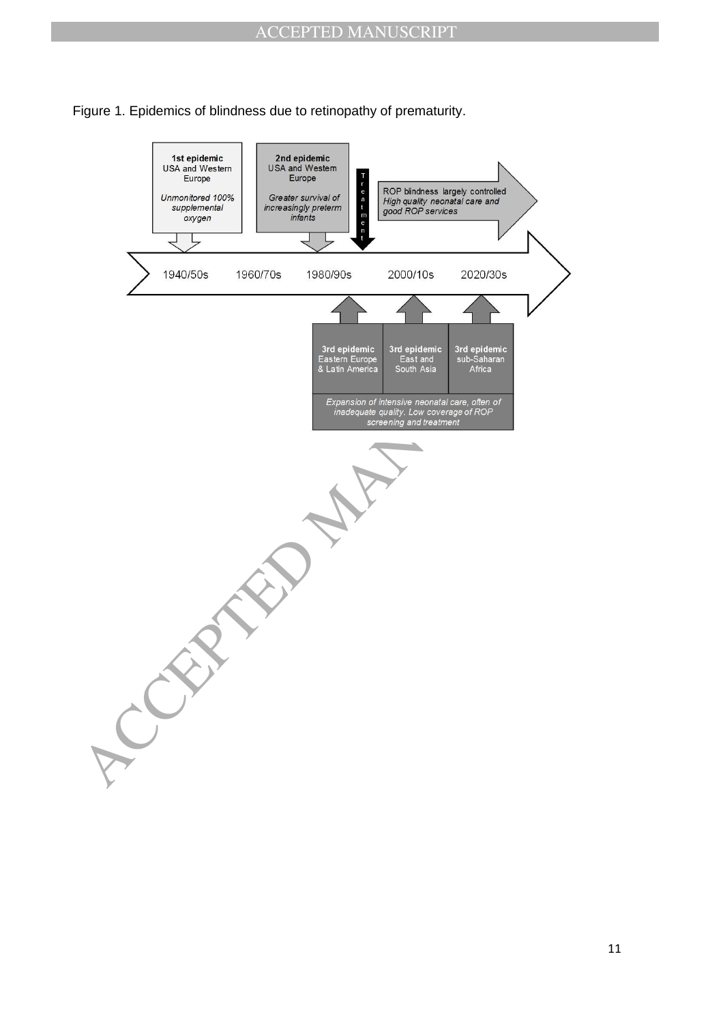

Figure 1. Epidemics of blindness due to retinopathy of prematurity.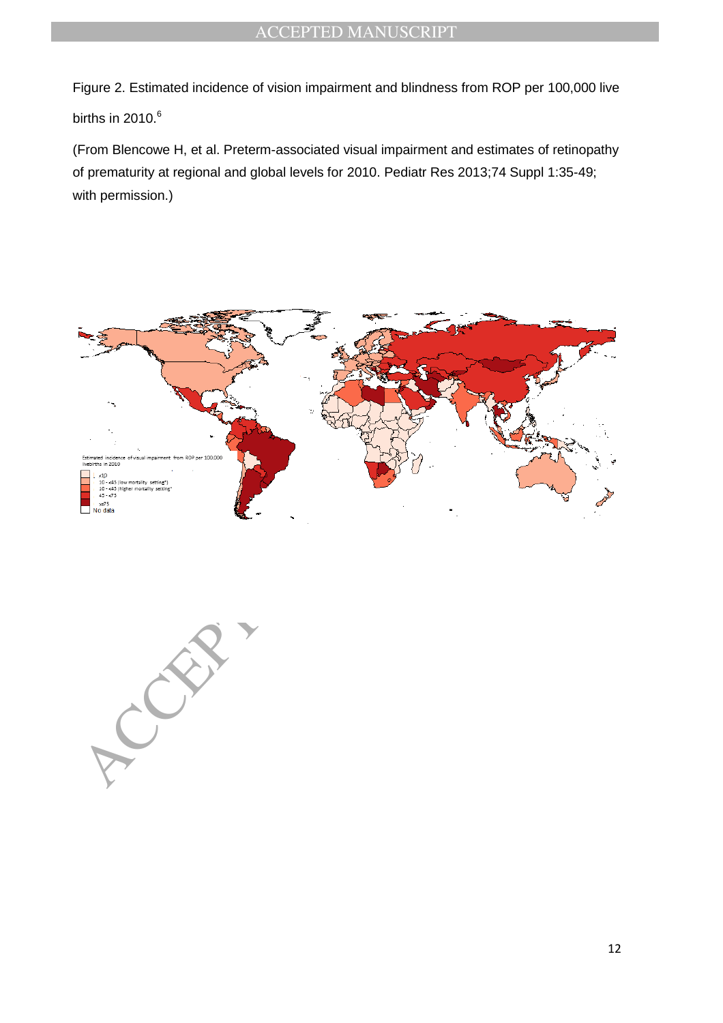Figure 2. Estimated incidence of vision impairment and blindness from ROP per 100,000 live births in 2010. $^6$ 

(From Blencowe H, et al. Preterm-associated visual impairment and estimates of retinopathy of prematurity at regional and global levels for 2010. Pediatr Res 2013;74 Suppl 1:35-49; with permission.)



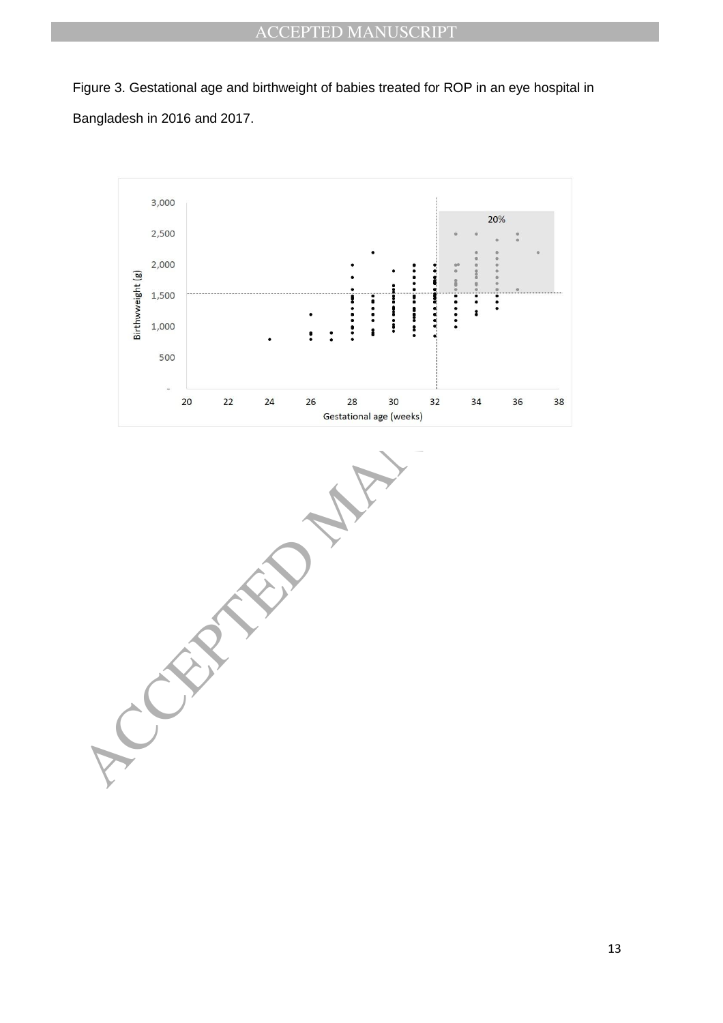Figure 3. Gestational age and birthweight of babies treated for ROP in an eye hospital in Bangladesh in 2016 and 2017.



 $\frac{1}{2}$ <br>  $\frac{1}{2}$ <br>  $\frac{1}{2}$ <br>  $\frac{1}{2}$ <br>  $\frac{1}{2}$ <br>  $\frac{1}{2}$ <br>  $\frac{1}{2}$ <br>  $\frac{1}{2}$ <br>  $\frac{1}{2}$ <br>  $\frac{1}{2}$ <br>  $\frac{1}{2}$ <br>  $\frac{1}{2}$ <br>  $\frac{1}{2}$ <br>  $\frac{1}{2}$ <br>  $\frac{1}{2}$ <br>  $\frac{1}{2}$ <br>  $\frac{1}{2}$ <br>  $\frac{1}{2}$ <br>  $\frac{1}{2}$ <br>  $\frac{1}{2}$ <br>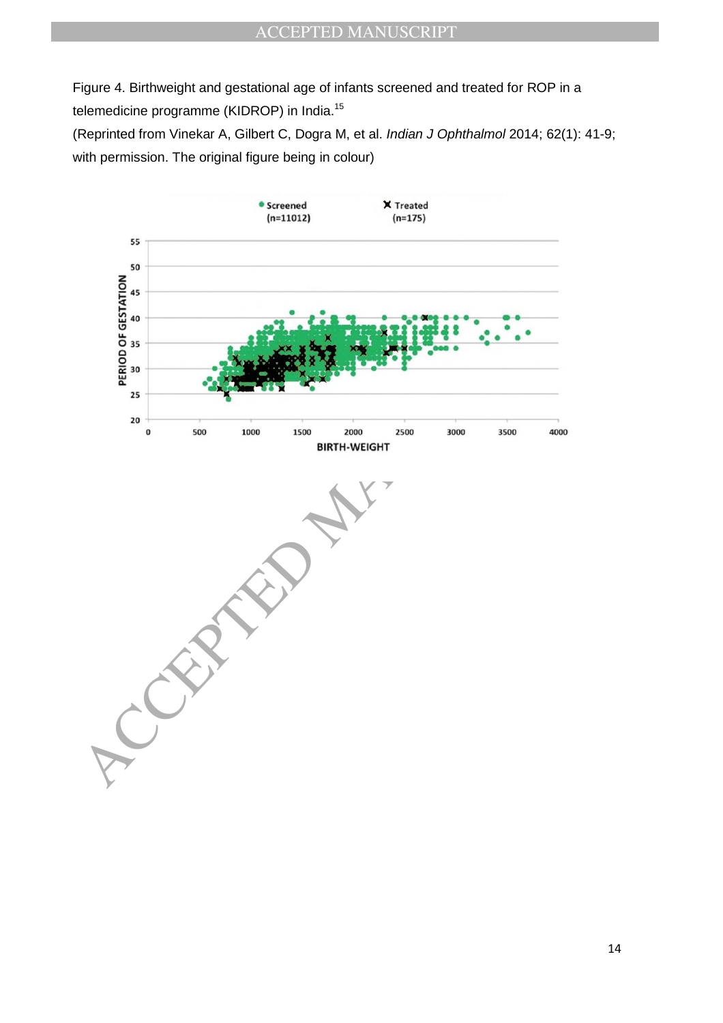Figure 4. Birthweight and gestational age of infants screened and treated for ROP in a telemedicine programme (KIDROP) in India.<sup>15</sup>

(Reprinted from Vinekar A, Gilbert C, Dogra M, et al. *Indian J Ophthalmol* 2014; 62(1): 41-9; with permission. The original figure being in colour)